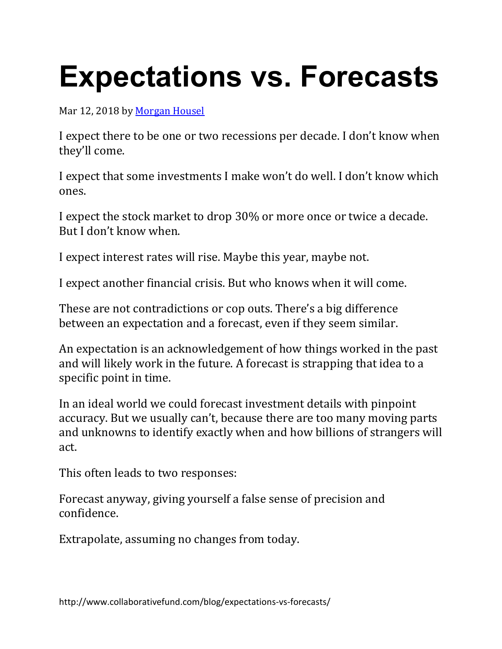## **Expectations vs. Forecasts**

Mar 12, 2018 by [Morgan](http://www.collaborativefund.com/blog/authors/morgan/) Housel

I expect there to be one or two recessions per decade. I don't know when they'll come.

I expect that some investments I make won't do well. I don't know which ones.

I expect the stock market to drop 30% or more once or twice a decade. But I don't know when.

I expect interest rates will rise. Maybe this year, maybe not.

I expect another financial crisis. But who knows when it will come.

These are not contradictions or cop outs. There's a big difference between an expectation and a forecast, even if they seem similar.

An expectation is an acknowledgement of how things worked in the past and will likely work in the future. A forecast is strapping that idea to a specific point in time.

In an ideal world we could forecast investment details with pinpoint accuracy. But we usually can't, because there are too many moving parts and unknowns to identify exactly when and how billions of strangers will act.

This often leads to two responses:

Forecast anyway, giving yourself a false sense of precision and confidence.

Extrapolate, assuming no changes from today.